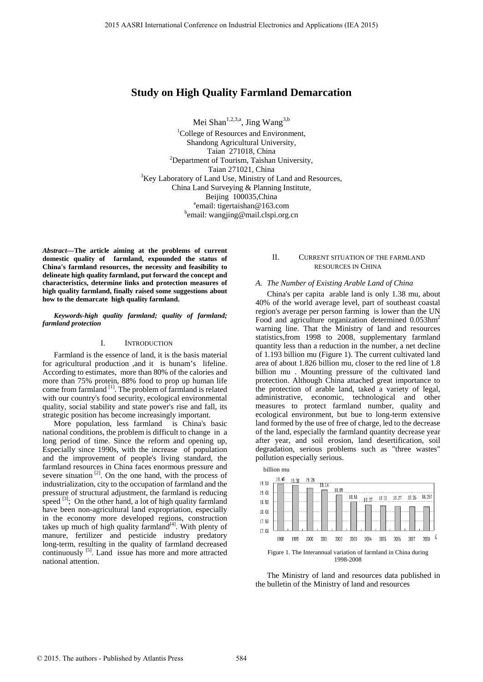# **Study on High Quality Farmland Demarcation**

Mei Shan<sup>1,2,3,a</sup>, Jing Wang<sup>3,b</sup>

<sup>1</sup>College of Resources and Environment, Shandong Agricultural University, Taian 271018, China 2 Department of Tourism, Taishan University, Taian 271021, China<br>
<sup>3</sup>Key Laboratory of Land Use, Ministry of Land and Resources, China Land Surveying & Planning Institute, Beijing 100035, China <sup>a</sup>email: tigertaishan@163.com bemail: wangjing@mail.clspi.org.cn

*Abstract—***The article aiming at the problems of current domestic quality of farmland, expounded the status of China's farmland resources, the necessity and feasibility to delineate high quality farmland, put forward the concept and characteristics, determine links and protection measures of high quality farmland, finally raised some suggestions about how to the demarcate high quality farmland.** 

#### *Keywords-high quality farmland; quality of farmland; farmland protection*

#### I. INTRODUCTION

Farmland is the essence of land, it is the basis material for agricultural production ,and it is hunam's lifeline. According to estimates, more than 80% of the calories and more than 75% protein, 88% food to prop up human life come from farmland [1]. The problem of farmland is related with our country's food security, ecological environmental quality, social stability and state power's rise and fall, its strategic position has become increasingly important.

More population, less farmland is China's basic national conditions, the problem is difficult to change in a long period of time. Since the reform and opening up, Especially since 1990s, with the increase of population and the improvement of people's living standard, the farmland resources in China faces enormous pressure and severe situation<sup>[2]</sup>. On the one hand, with the process of industrialization, city to the occupation of farmland and the pressure of structural adjustment, the farmland is reducing speed  $[3]$ ; On the other hand, a lot of high quality farmland have been non-agricultural land expropriation, especially in the economy more developed regions, construction takes up much of high quality farmland $[4]$ . With plenty of manure, fertilizer and pesticide industry predatory long-term, resulting in the quality of farmland decreased continuously <sup>[5]</sup>. Land issue has more and more attracted national attention. 2015 A.s. Sitt becomes the conference on Industrial Electronics and Application (FA 2015)<br>
Studies on IEA 2015)<br>
Studies of Electronics and Electronics and Applications (IEA)<br>
Studies  $\frac{2\pi}{3}$  Conference on Industrial

### II. CURRENT SITUATION OF THE FARMLAND RESOURCES IN CHINA

#### *A. The Number of Existing Arable Land of China*

China's per capita arable land is only 1.38 mu, about 40% of the world average level, part of southeast coastal region's average per person farming is lower than the UN Food and agriculture organization determined 0.053hm<sup>2</sup> warning line. That the Ministry of land and resources statistics,from 1998 to 2008, supplementary farmland quantity less than a reduction in the number, a net decline of 1.193 billion mu (Figure 1). The current cultivated land area of about 1.826 billion mu, closer to the red line of 1.8 billion mu . Mounting pressure of the cultivated land protection. Although China attached great importance to the protection of arable land, taked a variety of legal, administrative, economic, technological and other measures to protect farmland number, quality and ecological environment, but bue to long-term extensive land formed by the use of free of charge, led to the decrease of the land, especially the farmland quantity decrease year after year, and soil erosion, land desertification, soil degradation, serious problems such as "three wastes" pollution especially serious.



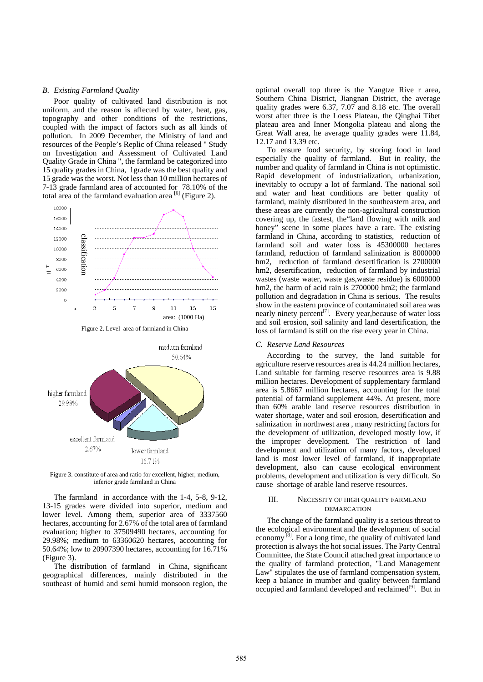#### *B. Existing Farmland Quality*

Poor quality of cultivated land distribution is not uniform, and the reason is affected by water, heat, gas, topography and other conditions of the restrictions, coupled with the impact of factors such as all kinds of pollution. In 2009 December, the Ministry of land and resources of the People's Replic of China released " Study on Investigation and Assessment of Cultivated Land Quality Grade in China ", the farmland be categorized into 15 quality grades in China, 1grade was the best quality and 15 grade was the worst. Not less than 10 million hectares of 7-13 grade farmland area of accounted for 78.10% of the total area of the farmland evaluation area  $^{[6]}$  (Figure 2).





Figure 3. constitute of area and ratio for excellent, higher, medium, inferior grade farmland in China

The farmland in accordance with the 1-4, 5-8, 9-12, 13-15 grades were divided into superior, medium and lower level. Among them, superior area of 3337560 hectares, accounting for 2.67% of the total area of farmland evaluation; higher to 37509490 hectares, accounting for 29.98%; medium to 63360620 hectares, accounting for 50.64%; low to 20907390 hectares, accounting for 16.71% (Figure 3).

The distribution of farmland in China, significant geographical differences, mainly distributed in the southeast of humid and semi humid monsoon region, the

optimal overall top three is the Yangtze Rive r area, Southern China District, Jiangnan District, the average quality grades were 6.37, 7.07 and 8.18 etc. The overall worst after three is the Loess Plateau, the Qinghai Tibet plateau area and Inner Mongolia plateau and along the Great Wall area, he average quality grades were 11.84, 12.17 and 13.39 etc.

To ensure food security, by storing food in land especially the quality of farmland. But in reality, the number and quality of farmland in China is not optimistic. Rapid development of industrialization, urbanization, inevitably to occupy a lot of farmland. The national soil and water and heat conditions are better quality of farmland, mainly distributed in the southeastern area, and these areas are currently the non-agricultural construction covering up, the fastest, the"land flowing with milk and honey" scene in some places have a rare. The existing farmland in China, according to statistics, reduction of farmland soil and water loss is 45300000 hectares farmland, reduction of farmland salinization is 8000000 hm2, reduction of farmland desertification is 2700000 hm2, desertification, reduction of farmland by industrial wastes (waste water, waste gas,waste residue) is 6000000 hm2, the harm of acid rain is 2700000 hm2; the farmland pollution and degradation in China is serious. The results show in the eastern province of contaminated soil area was nearly ninety percent<sup>[7]</sup>. Every year, because of water loss and soil erosion, soil salinity and land desertification, the loss of farmland is still on the rise every year in China.

#### *C. Reserve Land Resources*

According to the survey, the land suitable for agriculture reserve resources area is 44.24 million hectares, Land suitable for farming reserve resources area is 9.88 million hectares. Development of supplementary farmland area is 5.8667 million hectares, accounting for the total potential of farmland supplement 44%. At present, more than 60% arable land reserve resources distribution in water shortage, water and soil erosion, desertification and salinization in northwest area , many restricting factors for the development of utilization, developed mostly low, if the improper development. The restriction of land development and utilization of many factors, developed land is most lower level of farmland, if inappropriate development, also can cause ecological environment problems, development and utilization is very difficult. So cause shortage of arable land reserve resources.

### III. NECESSITY OF HIGH QUALITY FARMLAND DEMARCATION

The change of the farmland quality is a serious threat to the ecological environment and the development of social economy<sup>[8]</sup>. For a long time, the quality of cultivated land protection is always the hot social issues. The Party Central Committee, the State Council attached great importance to the quality of farmland protection, "Land Management Law" stipulates the use of farmland compensation system, keep a balance in mumber and quality between farmland occupied and farmland developed and reclaimed<sup>[9]</sup>. But in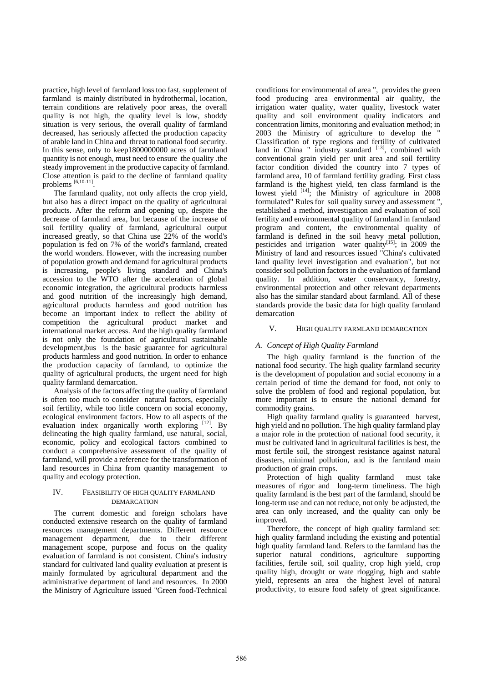practice, high level of farmland loss too fast, supplement of farmland is mainly distributed in hydrothermal, location, terrain conditions are relatively poor areas, the overall quality is not high, the quality level is low, shoddy situation is very serious, the overall quality of farmland decreased, has seriously affected the production capacity of arable land in China and threat to national food security. In this sense, only to keep1800000000 acres of farmland quantity is not enough, must need to ensure the quality .the steady improvement in the productive capacity of farmland. Close attention is paid to the decline of farmland quality problems [6,10-11]

The farmland quality, not only affects the crop yield, but also has a direct impact on the quality of agricultural products. After the reform and opening up, despite the decrease of farmland area, but because of the increase of soil fertility quality of farmland, agricultural output increased greatly, so that China use 22% of the world's population is fed on 7% of the world's farmland, created the world wonders. However, with the increasing number of population growth and demand for agricultural products is increasing, people's living standard and China's accession to the WTO after the acceleration of global economic integration, the agricultural products harmless and good nutrition of the increasingly high demand, agricultural products harmless and good nutrition has become an important index to reflect the ability of competition the agricultural product market and international market access. And the high quality farmland is not only the foundation of agricultural sustainable development,bus is the basic guarantee for agricultural products harmless and good nutrition. In order to enhance the production capacity of farmland, to optimize the quality of agricultural products, the urgent need for high quality farmland demarcation.

Analysis of the factors affecting the quality of farmland is often too much to consider natural factors, especially soil fertility, while too little concern on social economy, ecological environment factors. How to all aspects of the evaluation index organically worth exploring [12]. By delineating the high quality farmland, use natural, social, economic, policy and ecological factors combined to conduct a comprehensive assessment of the quality of farmland, will provide a reference for the transformation of land resources in China from quantity management to quality and ecology protection.

### IV. FEASIBILITY OF HIGH QUALITY FARMLAND DEMARCATION

The current domestic and foreign scholars have conducted extensive research on the quality of farmland resources management departments. Different resource management department, due to their different management scope, purpose and focus on the quality evaluation of farmland is not consistent. China's industry standard for cultivated land quality evaluation at present is mainly formulated by agricultural department and the administrative department of land and resources. In 2000 the Ministry of Agriculture issued "Green food-Technical

conditions for environmental of area ", provides the green food producing area environmental air quality, the irrigation water quality, water quality, livestock water quality and soil environment quality indicators and concentration limits, monitoring and evaluation method; in 2003 the Ministry of agriculture to develop the " Classification of type regions and fertility of cultivated land in China " industry standard  $[13]$ , combined with conventional grain yield per unit area and soil fertility factor condition divided the country into 7 types of farmland area, 10 of farmland fertility grading. First class farmland is the highest yield, ten class farmland is the lowest yield [14]; the Ministry of agriculture in 2008 formulated" Rules for soil quality survey and assessment ", established a method, investigation and evaluation of soil fertility and environmental quality of farmland in farmland program and content, the environmental quality of farmland is defined in the soil heavy metal pollution, pesticides and irrigation water quality $[15]$ ; in 2009 the Ministry of land and resources issued "China's cultivated land quality level investigation and evaluation", but not consider soil pollution factors in the evaluation of farmland quality. In addition, water conservancy, forestry, environmental protection and other relevant departments also has the similar standard about farmland. All of these standards provide the basic data for high quality farmland demarcation

### V. HIGH QUALITY FARMLAND DEMARCATION

### *A. Concept of High Quality Farmland*

The high quality farmland is the function of the national food security. The high quality farmland security is the development of population and social economy in a certain period of time the demand for food, not only to solve the problem of food and regional population, but more important is to ensure the national demand for commodity grains.

High quality farmland quality is guaranteed harvest, high yield and no pollution. The high quality farmland play a major role in the protection of national food security, it must be cultivated land in agricultural facilities is best, the most fertile soil, the strongest resistance against natural disasters, minimal pollution, and is the farmland main production of grain crops.

Protection of high quality farmland must take measures of rigor and long-term timeliness. The high quality farmland is the best part of the farmland, should be long-term use and can not reduce, not only be adjusted, the area can only increased, and the quality can only be improved.

Therefore, the concept of high quality farmland set: high quality farmland including the existing and potential high quality farmland land. Refers to the farmland has the superior natural conditions, agriculture supporting facilities, fertile soil, soil quality, crop high yield, crop quality high, drought or wate rlogging, high and stable yield, represents an area the highest level of natural productivity, to ensure food safety of great significance.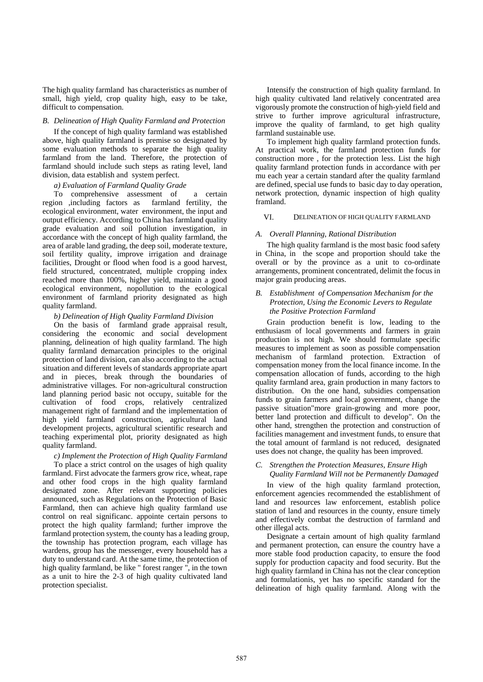The high quality farmland has characteristics as number of small, high yield, crop quality high, easy to be take, difficult to compensation.

### *B. Delineation of High Quality Farmland and Protection*

If the concept of high quality farmland was established above, high quality farmland is premise so designated by some evaluation methods to separate the high quality farmland from the land. Therefore, the protection of farmland should include such steps as rating level, land division, data establish and system perfect.

### *a) Evaluation of Farmland Quality Grade*

To comprehensive assessment of a certain region ,including factors as farmland fertility, the ecological environment, water environment, the input and output efficiency. According to China has farmland quality grade evaluation and soil pollution investigation, in accordance with the concept of high quality farmland, the area of arable land grading, the deep soil, moderate texture, soil fertility quality, improve irrigation and drainage facilities, Drought or flood when food is a good harvest, field structured, concentrated, multiple cropping index reached more than 100%, higher yield, maintain a good ecological environment, nopollution to the ecological environment of farmland priority designated as high quality farmland.

## *b) Delineation of High Quality Farmland Division*

On the basis of farmland grade appraisal result, considering the economic and social development planning, delineation of high quality farmland. The high quality farmland demarcation principles to the original protection of land division, can also according to the actual situation and different levels of standards appropriate apart and in pieces, break through the boundaries of administrative villages. For non-agricultural construction land planning period basic not occupy, suitable for the cultivation of food crops, relatively centralized management right of farmland and the implementation of high yield farmland construction, agricultural land development projects, agricultural scientific research and teaching experimental plot, priority designated as high quality farmland.

*c) Implement the Protection of High Quality Farmland*  To place a strict control on the usages of high quality farmland. First advocate the farmers grow rice, wheat, rape and other food crops in the high quality farmland designated zone. After relevant supporting policies announced, such as Regulations on the Protection of Basic Farmland, then can achieve high quality farmland use control on real significanc. appointe certain persons to protect the high quality farmland; further improve the farmland protection system, the county has a leading group, the township has protection program, each village has wardens, group has the messenger, every household has a duty to understand card. At the same time, the protection of high quality farmland, be like " forest ranger ", in the town as a unit to hire the 2-3 of high quality cultivated land protection specialist.

Intensify the construction of high quality farmland. In high quality cultivated land relatively concentrated area vigorously promote the construction of high-yield field and strive to further improve agricultural infrastructure, improve the quality of farmland, to get high quality farmland sustainable use.

To implement high quality farmland protection funds. At practical work, the farmland protection funds for construction more , for the protection less. List the high quality farmland protection funds in accordance with per mu each year a certain standard after the quality farmland are defined, special use funds to basic day to day operation, network protection, dynamic inspection of high quality framland.

### VI. DELINEATION OF HIGH QUALITY FARMLAND

#### *A. Overall Planning, Rational Distribution*

The high quality farmland is the most basic food safety in China, in the scope and proportion should take the overall or by the province as a unit to co-ordinate arrangements, prominent concentrated, delimit the focus in major grain producing areas.

### *B. Establishment of Compensation Mechanism for the Protection, Using the Economic Levers to Regulate the Positive Protection Farmland*

Grain production benefit is low, leading to the enthusiasm of local governments and farmers in grain production is not high. We should formulate specific measures to implement as soon as possible compensation mechanism of farmland protection. Extraction of compensation money from the local finance income. In the compensation allocation of funds, according to the high quality farmland area, grain production in many factors to distribution. On the one hand, subsidies compensation funds to grain farmers and local government, change the passive situation"more grain-growing and more poor, better land protection and difficult to develop". On the other hand, strengthen the protection and construction of facilities management and investment funds, to ensure that the total amount of farmland is not reduced, designated uses does not change, the quality has been improved.

### *C. Strengthen the Protection Measures, Ensure High Quality Farmland Will not be Permanently Damaged*

In view of the high quality farmland protection, enforcement agencies recommended the establishment of land and resources law enforcement, establish police station of land and resources in the county, ensure timely and effectively combat the destruction of farmland and other illegal acts.

Designate a certain amount of high quality farmland and permanent protection, can ensure the country have a more stable food production capacity, to ensure the food supply for production capacity and food security. But the high quality farmland in China has not the clear conception and formulationis, yet has no specific standard for the delineation of high quality farmland. Along with the